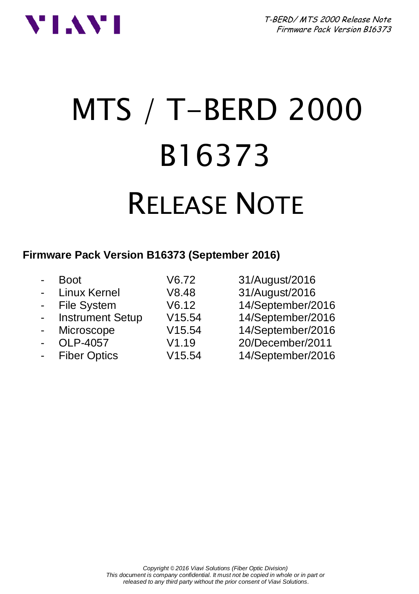

# MTS / T-BERD 2000 B16373 RELEASE NOTE

# **Firmware Pack Version B16373 (September 2016)**

| $\overline{a}$ | <b>Boot</b>             | V6.72  | 31/August/2016    |
|----------------|-------------------------|--------|-------------------|
| $\overline{a}$ | Linux Kernel            | V8.48  | 31/August/2016    |
|                | - File System           | V6.12  | 14/September/2016 |
| $\blacksquare$ | <b>Instrument Setup</b> | V15.54 | 14/September/2016 |
| $\sim$         | Microscope              | V15.54 | 14/September/2016 |
| $\blacksquare$ | OLP-4057                | V1.19  | 20/December/2011  |
| $\blacksquare$ | <b>Fiber Optics</b>     | V15.54 | 14/September/2016 |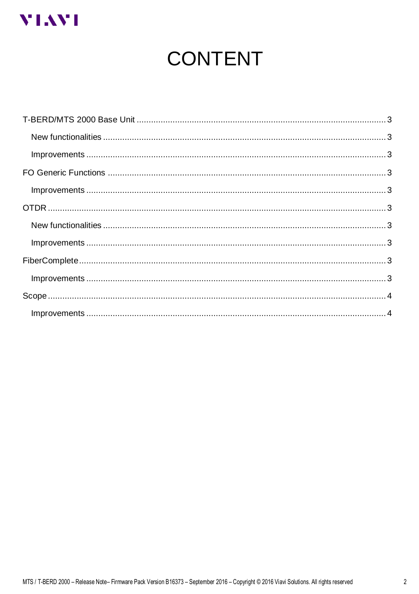

# **CONTENT**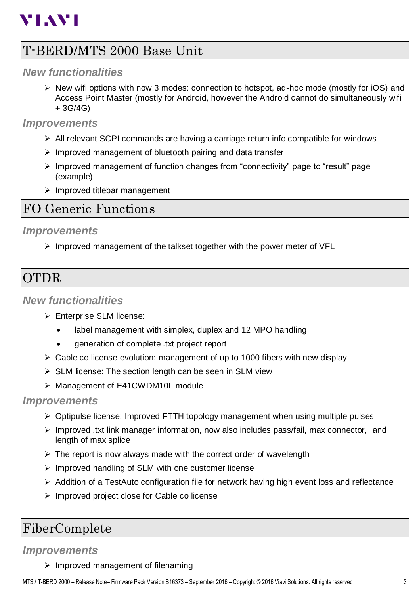# **VIAVI**

# <span id="page-2-0"></span>T-BERD/MTS 2000 Base Unit

## <span id="page-2-1"></span>*New functionalities*

 $\triangleright$  New wifi options with now 3 modes: connection to hotspot, ad-hoc mode (mostly for iOS) and Access Point Master (mostly for Android, however the Android cannot do simultaneously wifi + 3G/4G)

#### <span id="page-2-2"></span>*Improvements*

- $\triangleright$  All relevant SCPI commands are having a carriage return info compatible for windows
- $\triangleright$  Improved management of bluetooth pairing and data transfer
- $\triangleright$  Improved management of function changes from "connectivity" page to "result" page (example)
- $\triangleright$  Improved titlebar management

# <span id="page-2-3"></span>FO Generic Functions

#### <span id="page-2-4"></span>*Improvements*

 $\triangleright$  Improved management of the talkset together with the power meter of VFL

# <span id="page-2-5"></span>**OTDR**

### <span id="page-2-6"></span>*New functionalities*

- Enterprise SLM license:
	- label management with simplex, duplex and 12 MPO handling
	- generation of complete .txt project report
- $\triangleright$  Cable co license evolution: management of up to 1000 fibers with new display
- $\triangleright$  SLM license: The section length can be seen in SLM view
- > Management of E41CWDM10L module

#### <span id="page-2-7"></span>*Improvements*

- $\triangleright$  Optipulse license: Improved FTTH topology management when using multiple pulses
- $\triangleright$  Improved .txt link manager information, now also includes pass/fail, max connector, and length of max splice
- $\triangleright$  The report is now always made with the correct order of wavelength
- $\triangleright$  Improved handling of SLM with one customer license
- $\triangleright$  Addition of a TestAuto configuration file for network having high event loss and reflectance
- $\triangleright$  Improved project close for Cable co license

# <span id="page-2-8"></span>FiberComplete

## <span id="page-2-9"></span>*Improvements*

 $\triangleright$  Improved management of filenaming